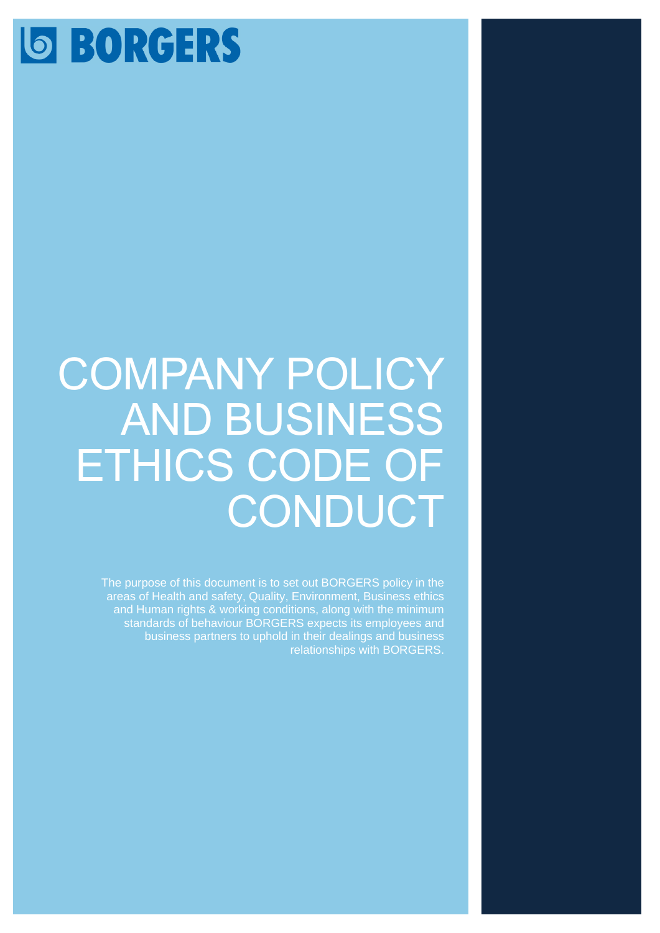# **SORGERS**

# COMPANY POLICY AND BUSINESS ETHICS CODE OF **CONDUCT**

The purpose of this document is to set out BORGERS policy in the areas of Health and safety, Quality, Environment, Business ethics and Human rights & working conditions, along with the minimum standards of behaviour BORGERS expects its employees and business partners to uphold in their dealings and business relationships with BORGERS.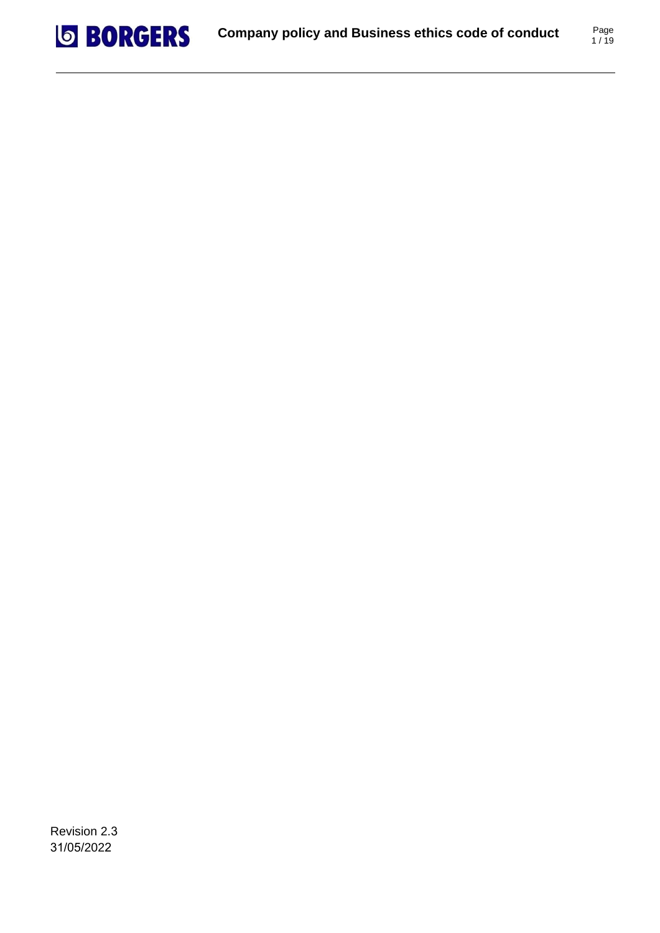

Revision 2.3 31/05/2022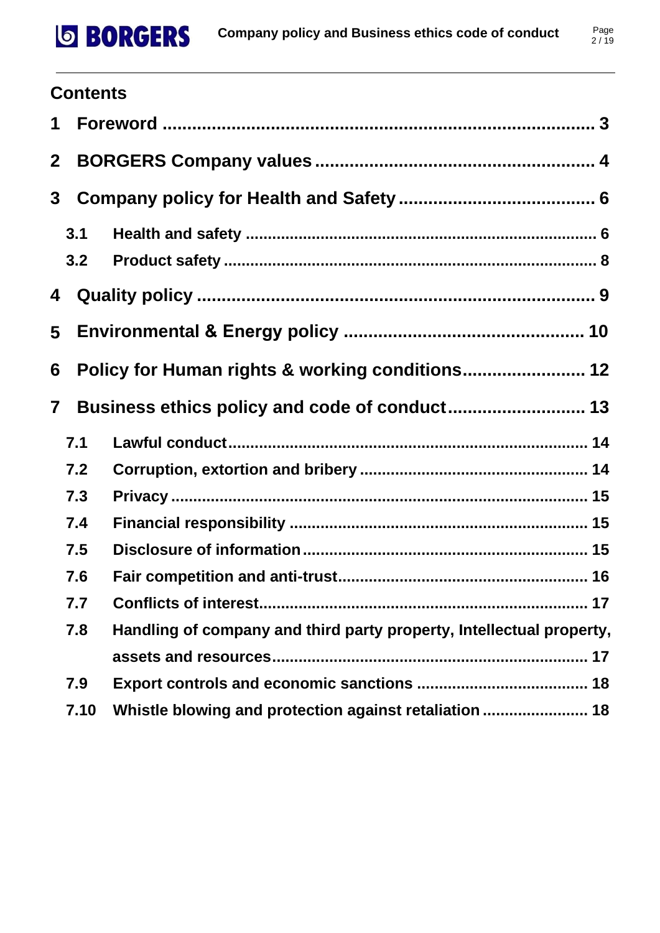# **SBORGERS**

# **Contents**

| $\mathbf 1$             |            |                                                                      |
|-------------------------|------------|----------------------------------------------------------------------|
| $\mathbf{2}$            |            |                                                                      |
| 3 <sup>1</sup>          |            |                                                                      |
|                         | 3.1<br>3.2 |                                                                      |
| 4                       |            |                                                                      |
| 5                       |            |                                                                      |
| 6                       |            |                                                                      |
| $\overline{\mathbf{7}}$ |            | Business ethics policy and code of conduct 13                        |
|                         | 7.1        |                                                                      |
|                         | 7.2        |                                                                      |
|                         | 7.3        |                                                                      |
|                         | 7.4        |                                                                      |
|                         | 7.5        |                                                                      |
|                         | 7.6        |                                                                      |
|                         | 7.7        | . 17                                                                 |
|                         | 7.8        | Handling of company and third party property, Intellectual property, |
|                         |            |                                                                      |
|                         | 7.9        |                                                                      |
|                         | 7.10       |                                                                      |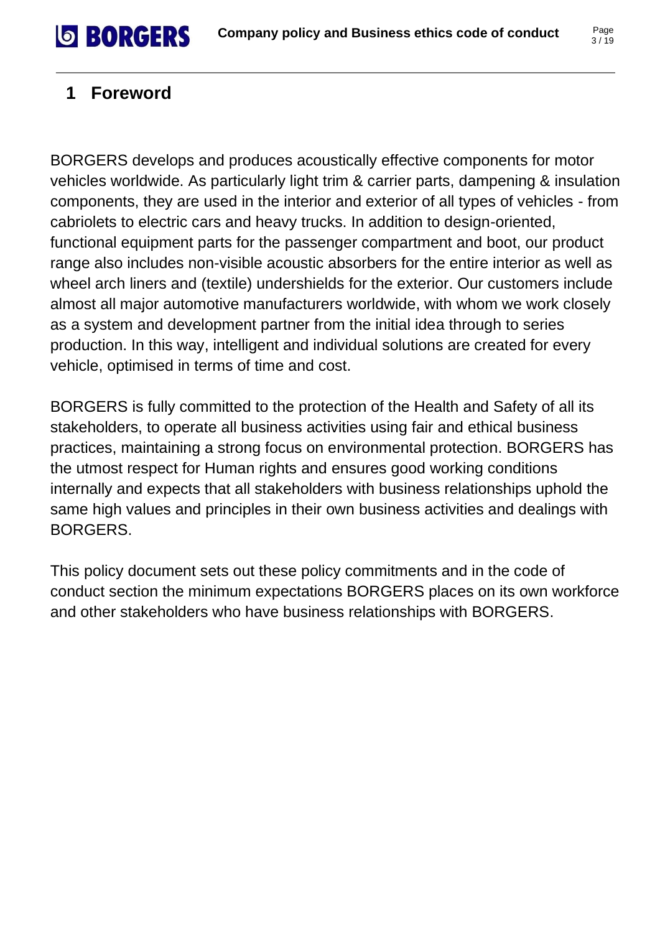# **SBORGERS**

# <span id="page-3-0"></span>**1 Foreword**

BORGERS develops and produces acoustically effective components for motor vehicles worldwide. As particularly light trim & carrier parts, dampening & insulation components, they are used in the interior and exterior of all types of vehicles - from cabriolets to electric cars and heavy trucks. In addition to design-oriented, functional equipment parts for the passenger compartment and boot, our product range also includes non-visible acoustic absorbers for the entire interior as well as wheel arch liners and (textile) undershields for the exterior. Our customers include almost all major automotive manufacturers worldwide, with whom we work closely as a system and development partner from the initial idea through to series production. In this way, intelligent and individual solutions are created for every vehicle, optimised in terms of time and cost.

BORGERS is fully committed to the protection of the Health and Safety of all its stakeholders, to operate all business activities using fair and ethical business practices, maintaining a strong focus on environmental protection. BORGERS has the utmost respect for Human rights and ensures good working conditions internally and expects that all stakeholders with business relationships uphold the same high values and principles in their own business activities and dealings with BORGERS.

This policy document sets out these policy commitments and in the code of conduct section the minimum expectations BORGERS places on its own workforce and other stakeholders who have business relationships with BORGERS.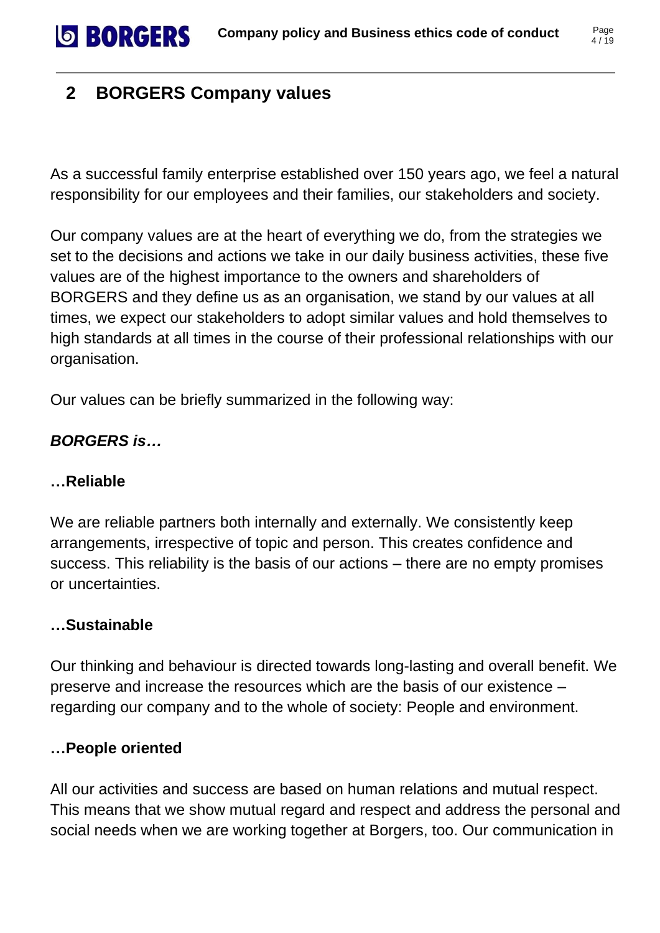# <span id="page-4-0"></span>**2 BORGERS Company values**

**SBORGERS** 

As a successful family enterprise established over 150 years ago, we feel a natural responsibility for our employees and their families, our stakeholders and society.

Our company values are at the heart of everything we do, from the strategies we set to the decisions and actions we take in our daily business activities, these five values are of the highest importance to the owners and shareholders of BORGERS and they define us as an organisation, we stand by our values at all times, we expect our stakeholders to adopt similar values and hold themselves to high standards at all times in the course of their professional relationships with our organisation.

Our values can be briefly summarized in the following way:

#### *BORGERS is…*

#### **…Reliable**

We are reliable partners both internally and externally. We consistently keep arrangements, irrespective of topic and person. This creates confidence and success. This reliability is the basis of our actions – there are no empty promises or uncertainties.

#### **…Sustainable**

Our thinking and behaviour is directed towards long-lasting and overall benefit. We preserve and increase the resources which are the basis of our existence – regarding our company and to the whole of society: People and environment.

#### **…People oriented**

All our activities and success are based on human relations and mutual respect. This means that we show mutual regard and respect and address the personal and social needs when we are working together at Borgers, too. Our communication in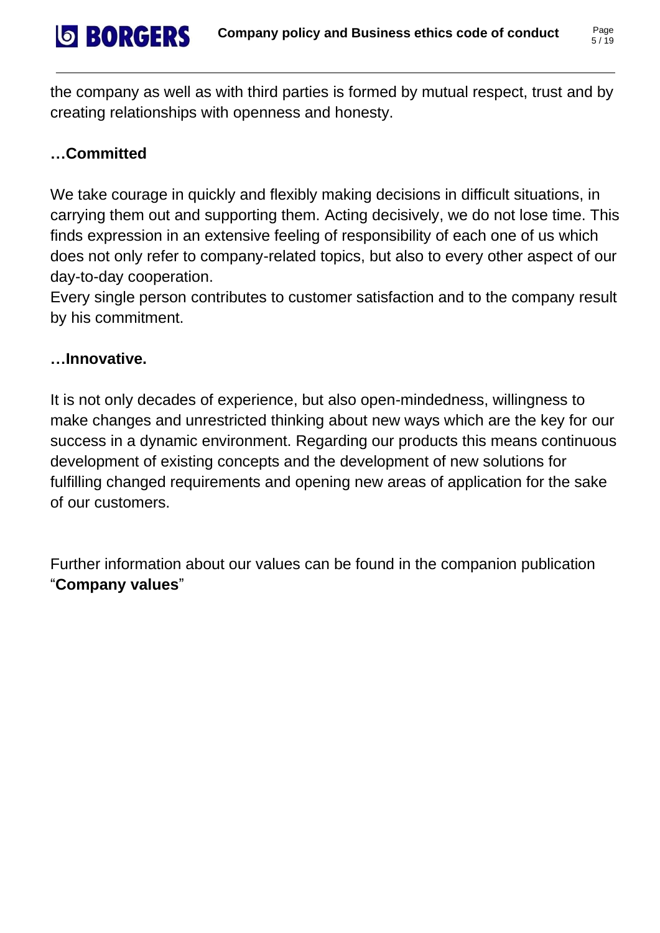the company as well as with third parties is formed by mutual respect, trust and by creating relationships with openness and honesty.

#### **…Committed**

**SBORGERS** 

We take courage in quickly and flexibly making decisions in difficult situations, in carrying them out and supporting them. Acting decisively, we do not lose time. This finds expression in an extensive feeling of responsibility of each one of us which does not only refer to company-related topics, but also to every other aspect of our day-to-day cooperation.

Every single person contributes to customer satisfaction and to the company result by his commitment.

#### **…Innovative.**

It is not only decades of experience, but also open-mindedness, willingness to make changes and unrestricted thinking about new ways which are the key for our success in a dynamic environment. Regarding our products this means continuous development of existing concepts and the development of new solutions for fulfilling changed requirements and opening new areas of application for the sake of our customers.

Further information about our values can be found in the companion publication "**Company values**"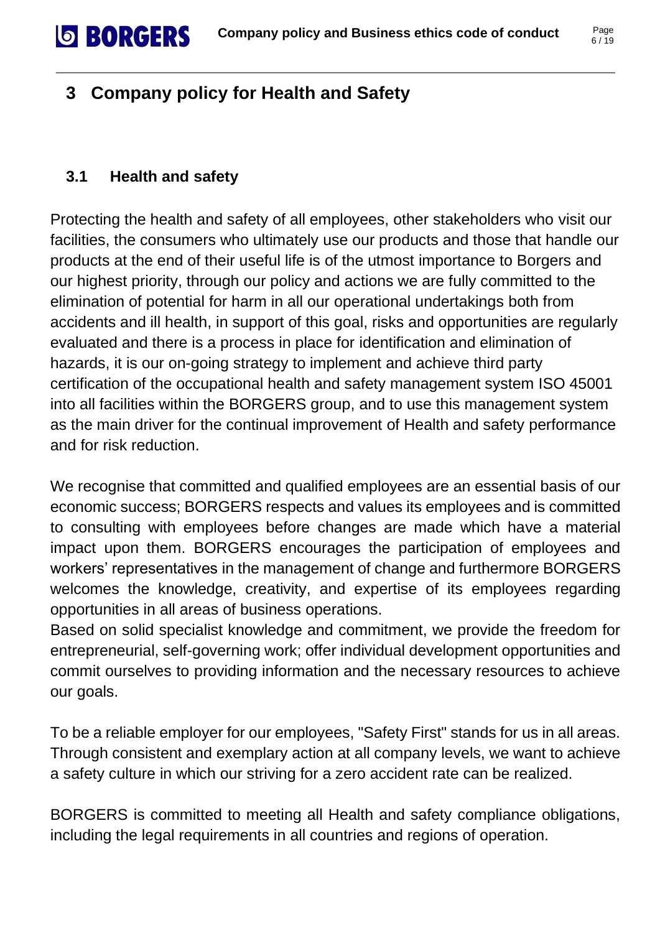# <span id="page-6-0"></span>**3 Company policy for Health and Safety**

#### <span id="page-6-1"></span>**3.1 Health and safety**

**SBORGERS** 

Protecting the health and safety of all employees, other stakeholders who visit our facilities, the consumers who ultimately use our products and those that handle our products at the end of their useful life is of the utmost importance to Borgers and our highest priority, through our policy and actions we are fully committed to the elimination of potential for harm in all our operational undertakings both from accidents and ill health, in support of this goal, risks and opportunities are regularly evaluated and there is a process in place for identification and elimination of hazards, it is our on-going strategy to implement and achieve third party certification of the occupational health and safety management system ISO 45001 into all facilities within the BORGERS group, and to use this management system as the main driver for the continual improvement of Health and safety performance and for risk reduction.

We recognise that committed and qualified employees are an essential basis of our economic success; BORGERS respects and values its employees and is committed to consulting with employees before changes are made which have a material impact upon them. BORGERS encourages the participation of employees and workers' representatives in the management of change and furthermore BORGERS welcomes the knowledge, creativity, and expertise of its employees regarding opportunities in all areas of business operations.

Based on solid specialist knowledge and commitment, we provide the freedom for entrepreneurial, self-governing work; offer individual development opportunities and commit ourselves to providing information and the necessary resources to achieve our goals.

To be a reliable employer for our employees, "Safety First" stands for us in all areas. Through consistent and exemplary action at all company levels, we want to achieve a safety culture in which our striving for a zero accident rate can be realized.

BORGERS is committed to meeting all Health and safety compliance obligations, including the legal requirements in all countries and regions of operation.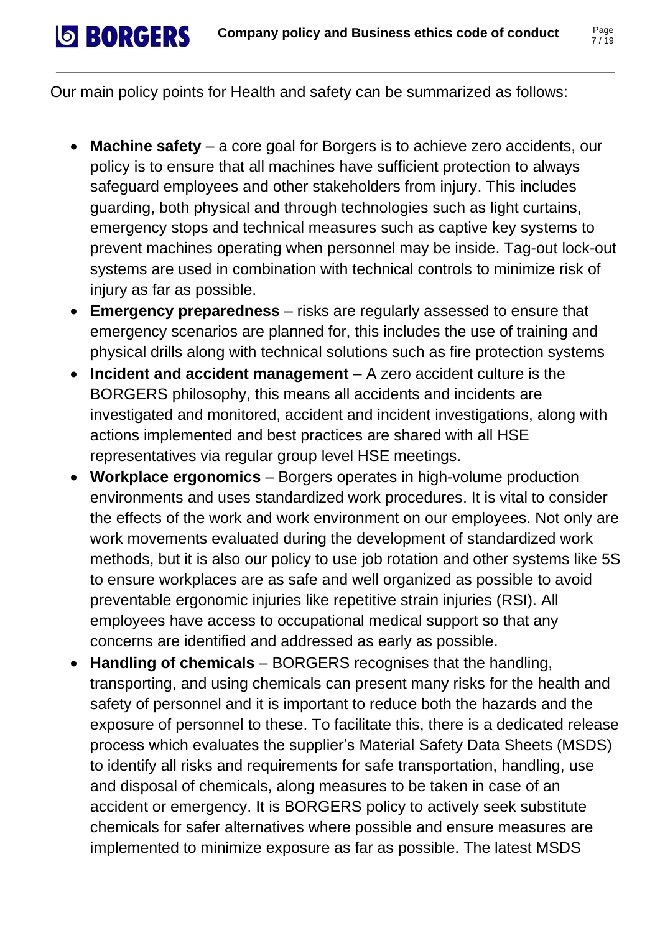Our main policy points for Health and safety can be summarized as follows:

**SBORGERS** 

- **Machine safety** a core goal for Borgers is to achieve zero accidents, our policy is to ensure that all machines have sufficient protection to always safeguard employees and other stakeholders from injury. This includes guarding, both physical and through technologies such as light curtains, emergency stops and technical measures such as captive key systems to prevent machines operating when personnel may be inside. Tag-out lock-out systems are used in combination with technical controls to minimize risk of injury as far as possible.
- **Emergency preparedness** risks are regularly assessed to ensure that emergency scenarios are planned for, this includes the use of training and physical drills along with technical solutions such as fire protection systems
- **Incident and accident management** A zero accident culture is the BORGERS philosophy, this means all accidents and incidents are investigated and monitored, accident and incident investigations, along with actions implemented and best practices are shared with all HSE representatives via regular group level HSE meetings.
- **Workplace ergonomics** Borgers operates in high-volume production environments and uses standardized work procedures. It is vital to consider the effects of the work and work environment on our employees. Not only are work movements evaluated during the development of standardized work methods, but it is also our policy to use job rotation and other systems like 5S to ensure workplaces are as safe and well organized as possible to avoid preventable ergonomic injuries like repetitive strain injuries (RSI). All employees have access to occupational medical support so that any concerns are identified and addressed as early as possible.
- **Handling of chemicals** BORGERS recognises that the handling, transporting, and using chemicals can present many risks for the health and safety of personnel and it is important to reduce both the hazards and the exposure of personnel to these. To facilitate this, there is a dedicated release process which evaluates the supplier's Material Safety Data Sheets (MSDS) to identify all risks and requirements for safe transportation, handling, use and disposal of chemicals, along measures to be taken in case of an accident or emergency. It is BORGERS policy to actively seek substitute chemicals for safer alternatives where possible and ensure measures are implemented to minimize exposure as far as possible. The latest MSDS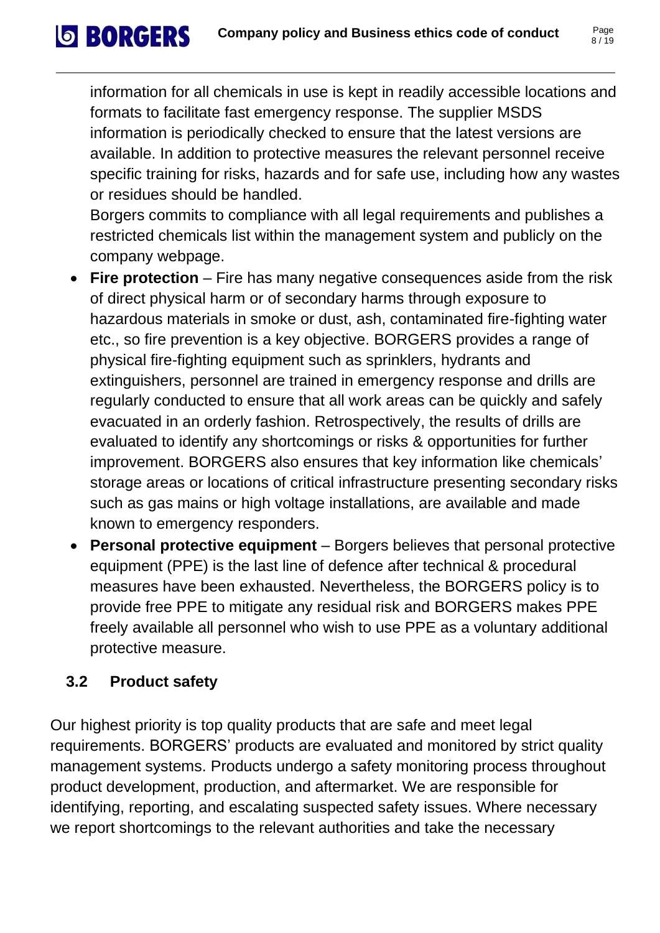information for all chemicals in use is kept in readily accessible locations and formats to facilitate fast emergency response. The supplier MSDS information is periodically checked to ensure that the latest versions are available. In addition to protective measures the relevant personnel receive specific training for risks, hazards and for safe use, including how any wastes or residues should be handled.

Borgers commits to compliance with all legal requirements and publishes a restricted chemicals list within the management system and publicly on the company webpage.

- **Fire protection** Fire has many negative consequences aside from the risk of direct physical harm or of secondary harms through exposure to hazardous materials in smoke or dust, ash, contaminated fire-fighting water etc., so fire prevention is a key objective. BORGERS provides a range of physical fire-fighting equipment such as sprinklers, hydrants and extinguishers, personnel are trained in emergency response and drills are regularly conducted to ensure that all work areas can be quickly and safely evacuated in an orderly fashion. Retrospectively, the results of drills are evaluated to identify any shortcomings or risks & opportunities for further improvement. BORGERS also ensures that key information like chemicals' storage areas or locations of critical infrastructure presenting secondary risks such as gas mains or high voltage installations, are available and made known to emergency responders.
- **Personal protective equipment** Borgers believes that personal protective equipment (PPE) is the last line of defence after technical & procedural measures have been exhausted. Nevertheless, the BORGERS policy is to provide free PPE to mitigate any residual risk and BORGERS makes PPE freely available all personnel who wish to use PPE as a voluntary additional protective measure.

#### <span id="page-8-0"></span>**3.2 Product safety**

**SBORGERS** 

Our highest priority is top quality products that are safe and meet legal requirements. BORGERS' products are evaluated and monitored by strict quality management systems. Products undergo a safety monitoring process throughout product development, production, and aftermarket. We are responsible for identifying, reporting, and escalating suspected safety issues. Where necessary we report shortcomings to the relevant authorities and take the necessary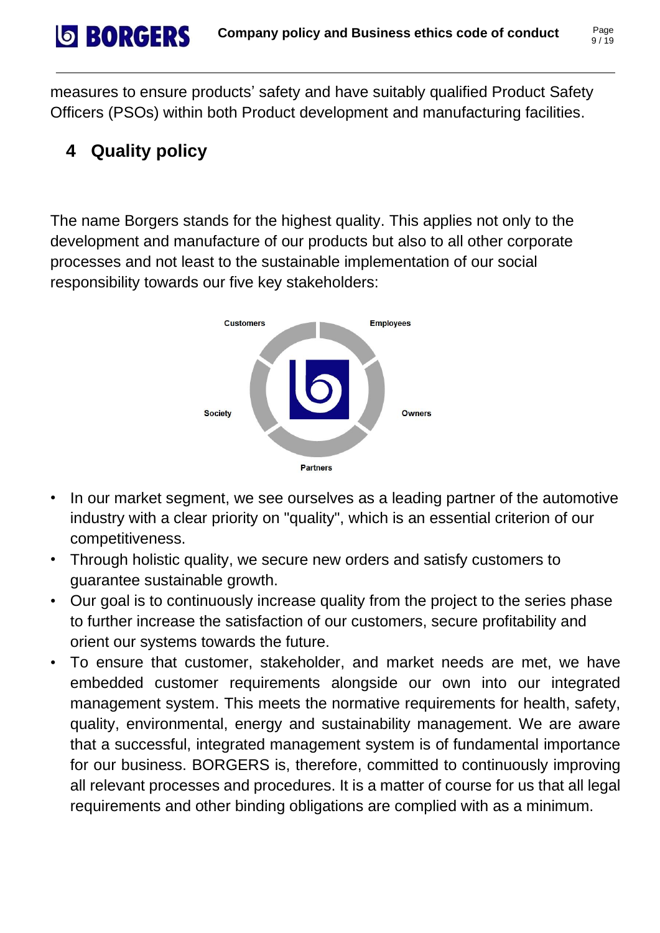measures to ensure products' safety and have suitably qualified Product Safety Officers (PSOs) within both Product development and manufacturing facilities.

# <span id="page-9-0"></span>**4 Quality policy**

**SBORGERS** 

The name Borgers stands for the highest quality. This applies not only to the development and manufacture of our products but also to all other corporate processes and not least to the sustainable implementation of our social responsibility towards our five key stakeholders:



- In our market segment, we see ourselves as a leading partner of the automotive industry with a clear priority on "quality", which is an essential criterion of our competitiveness.
- Through holistic quality, we secure new orders and satisfy customers to guarantee sustainable growth.
- Our goal is to continuously increase quality from the project to the series phase to further increase the satisfaction of our customers, secure profitability and orient our systems towards the future.
- To ensure that customer, stakeholder, and market needs are met, we have embedded customer requirements alongside our own into our integrated management system. This meets the normative requirements for health, safety, quality, environmental, energy and sustainability management. We are aware that a successful, integrated management system is of fundamental importance for our business. BORGERS is, therefore, committed to continuously improving all relevant processes and procedures. It is a matter of course for us that all legal requirements and other binding obligations are complied with as a minimum.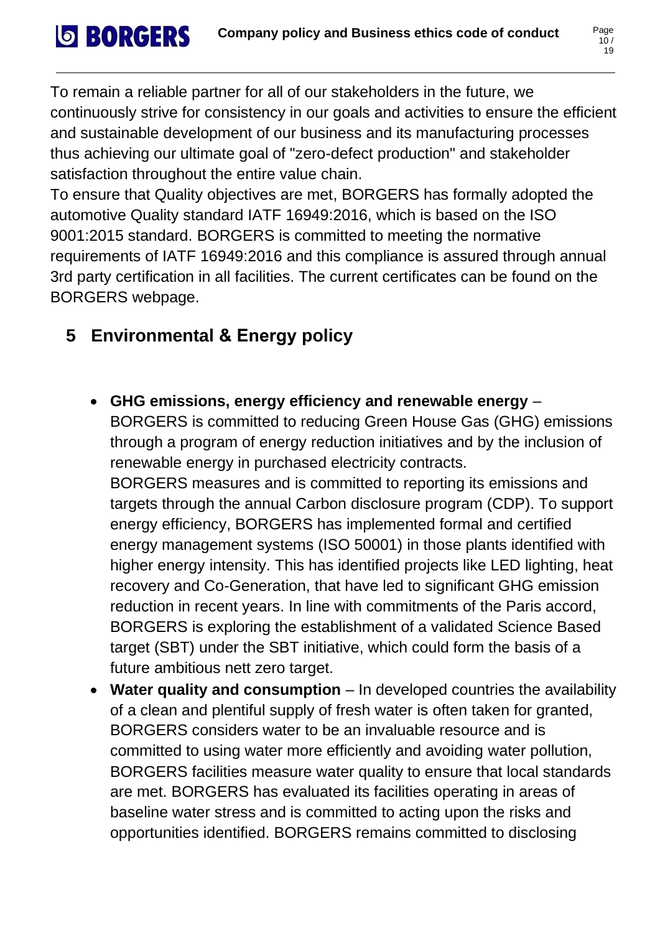To remain a reliable partner for all of our stakeholders in the future, we continuously strive for consistency in our goals and activities to ensure the efficient and sustainable development of our business and its manufacturing processes thus achieving our ultimate goal of "zero-defect production" and stakeholder satisfaction throughout the entire value chain.

To ensure that Quality objectives are met, BORGERS has formally adopted the automotive Quality standard IATF 16949:2016, which is based on the ISO 9001:2015 standard. BORGERS is committed to meeting the normative requirements of IATF 16949:2016 and this compliance is assured through annual 3rd party certification in all facilities. The current certificates can be found on the BORGERS webpage.

### <span id="page-10-0"></span>**5 Environmental & Energy policy**

**SBORGERS** 

• **GHG emissions, energy efficiency and renewable energy** –

BORGERS is committed to reducing Green House Gas (GHG) emissions through a program of energy reduction initiatives and by the inclusion of renewable energy in purchased electricity contracts.

BORGERS measures and is committed to reporting its emissions and targets through the annual Carbon disclosure program (CDP). To support energy efficiency, BORGERS has implemented formal and certified energy management systems (ISO 50001) in those plants identified with higher energy intensity. This has identified projects like LED lighting, heat recovery and Co-Generation, that have led to significant GHG emission reduction in recent years. In line with commitments of the Paris accord, BORGERS is exploring the establishment of a validated Science Based target (SBT) under the SBT initiative, which could form the basis of a future ambitious nett zero target.

• **Water quality and consumption** – In developed countries the availability of a clean and plentiful supply of fresh water is often taken for granted, BORGERS considers water to be an invaluable resource and is committed to using water more efficiently and avoiding water pollution, BORGERS facilities measure water quality to ensure that local standards are met. BORGERS has evaluated its facilities operating in areas of baseline water stress and is committed to acting upon the risks and opportunities identified. BORGERS remains committed to disclosing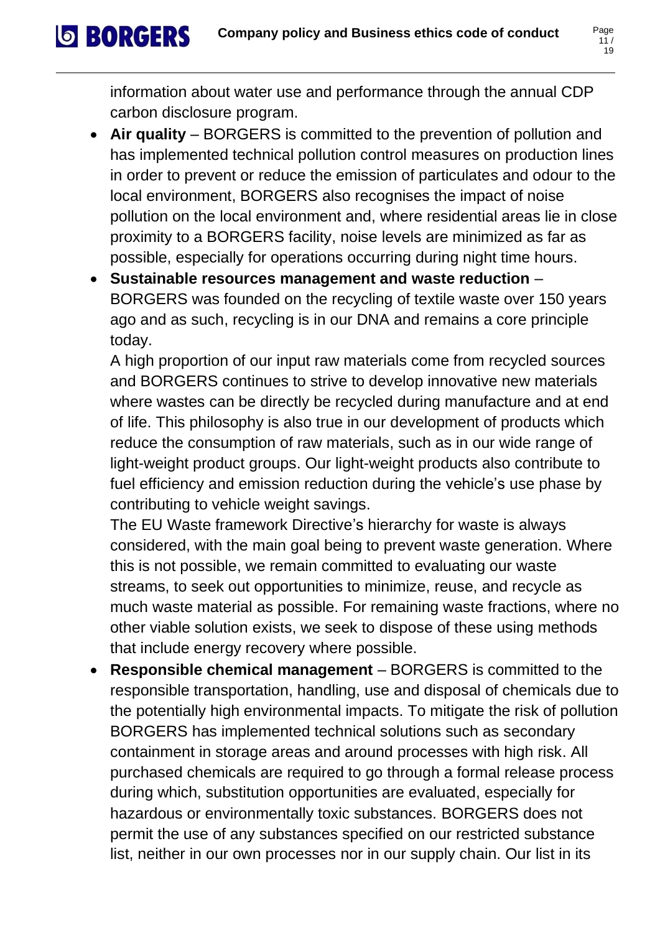$11/$ 19

information about water use and performance through the annual CDP carbon disclosure program.

**SBORGERS** 

- **Air quality** BORGERS is committed to the prevention of pollution and has implemented technical pollution control measures on production lines in order to prevent or reduce the emission of particulates and odour to the local environment, BORGERS also recognises the impact of noise pollution on the local environment and, where residential areas lie in close proximity to a BORGERS facility, noise levels are minimized as far as possible, especially for operations occurring during night time hours.
- **Sustainable resources management and waste reduction** BORGERS was founded on the recycling of textile waste over 150 years ago and as such, recycling is in our DNA and remains a core principle today.

A high proportion of our input raw materials come from recycled sources and BORGERS continues to strive to develop innovative new materials where wastes can be directly be recycled during manufacture and at end of life. This philosophy is also true in our development of products which reduce the consumption of raw materials, such as in our wide range of light-weight product groups. Our light-weight products also contribute to fuel efficiency and emission reduction during the vehicle's use phase by contributing to vehicle weight savings.

The EU Waste framework Directive's hierarchy for waste is always considered, with the main goal being to prevent waste generation. Where this is not possible, we remain committed to evaluating our waste streams, to seek out opportunities to minimize, reuse, and recycle as much waste material as possible. For remaining waste fractions, where no other viable solution exists, we seek to dispose of these using methods that include energy recovery where possible.

• **Responsible chemical management** – BORGERS is committed to the responsible transportation, handling, use and disposal of chemicals due to the potentially high environmental impacts. To mitigate the risk of pollution BORGERS has implemented technical solutions such as secondary containment in storage areas and around processes with high risk. All purchased chemicals are required to go through a formal release process during which, substitution opportunities are evaluated, especially for hazardous or environmentally toxic substances. BORGERS does not permit the use of any substances specified on our restricted substance list, neither in our own processes nor in our supply chain. Our list in its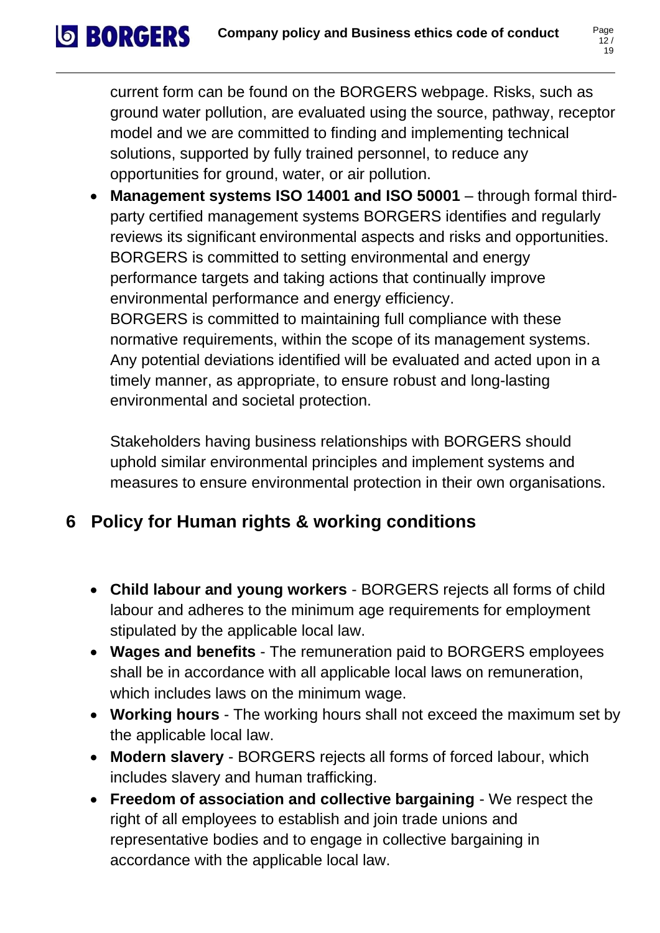current form can be found on the BORGERS webpage. Risks, such as ground water pollution, are evaluated using the source, pathway, receptor model and we are committed to finding and implementing technical solutions, supported by fully trained personnel, to reduce any opportunities for ground, water, or air pollution.

• **Management systems ISO 14001 and ISO 50001** – through formal thirdparty certified management systems BORGERS identifies and regularly reviews its significant environmental aspects and risks and opportunities. BORGERS is committed to setting environmental and energy performance targets and taking actions that continually improve environmental performance and energy efficiency. BORGERS is committed to maintaining full compliance with these normative requirements, within the scope of its management systems. Any potential deviations identified will be evaluated and acted upon in a timely manner, as appropriate, to ensure robust and long-lasting environmental and societal protection.

Stakeholders having business relationships with BORGERS should uphold similar environmental principles and implement systems and measures to ensure environmental protection in their own organisations.

# <span id="page-12-0"></span>**6 Policy for Human rights & working conditions**

**SORGERS** 

- **Child labour and young workers** BORGERS rejects all forms of child labour and adheres to the minimum age requirements for employment stipulated by the applicable local law.
- **Wages and benefits** The remuneration paid to BORGERS employees shall be in accordance with all applicable local laws on remuneration, which includes laws on the minimum wage.
- **Working hours** The working hours shall not exceed the maximum set by the applicable local law.
- **Modern slavery** BORGERS rejects all forms of forced labour, which includes slavery and human trafficking.
- **Freedom of association and collective bargaining** We respect the right of all employees to establish and join trade unions and representative bodies and to engage in collective bargaining in accordance with the applicable local law.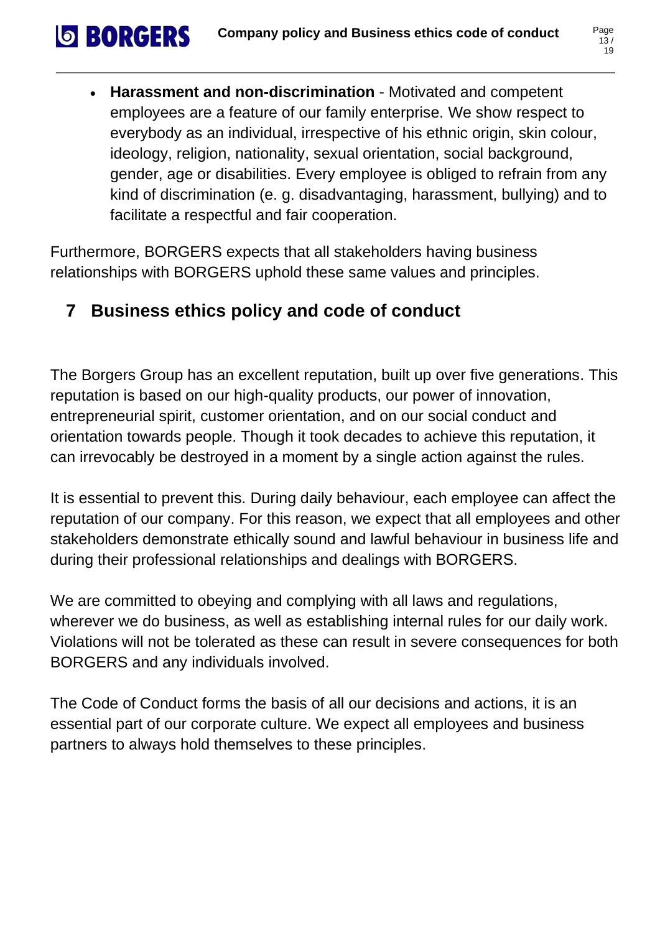• **Harassment and non-discrimination** - Motivated and competent employees are a feature of our family enterprise. We show respect to everybody as an individual, irrespective of his ethnic origin, skin colour, ideology, religion, nationality, sexual orientation, social background, gender, age or disabilities. Every employee is obliged to refrain from any kind of discrimination (e. g. disadvantaging, harassment, bullying) and to facilitate a respectful and fair cooperation.

Furthermore, BORGERS expects that all stakeholders having business relationships with BORGERS uphold these same values and principles.

# <span id="page-13-0"></span>**7 Business ethics policy and code of conduct**

**SBORGERS** 

The Borgers Group has an excellent reputation, built up over five generations. This reputation is based on our high-quality products, our power of innovation, entrepreneurial spirit, customer orientation, and on our social conduct and orientation towards people. Though it took decades to achieve this reputation, it can irrevocably be destroyed in a moment by a single action against the rules.

It is essential to prevent this. During daily behaviour, each employee can affect the reputation of our company. For this reason, we expect that all employees and other stakeholders demonstrate ethically sound and lawful behaviour in business life and during their professional relationships and dealings with BORGERS.

We are committed to obeying and complying with all laws and regulations, wherever we do business, as well as establishing internal rules for our daily work. Violations will not be tolerated as these can result in severe consequences for both BORGERS and any individuals involved.

The Code of Conduct forms the basis of all our decisions and actions, it is an essential part of our corporate culture. We expect all employees and business partners to always hold themselves to these principles.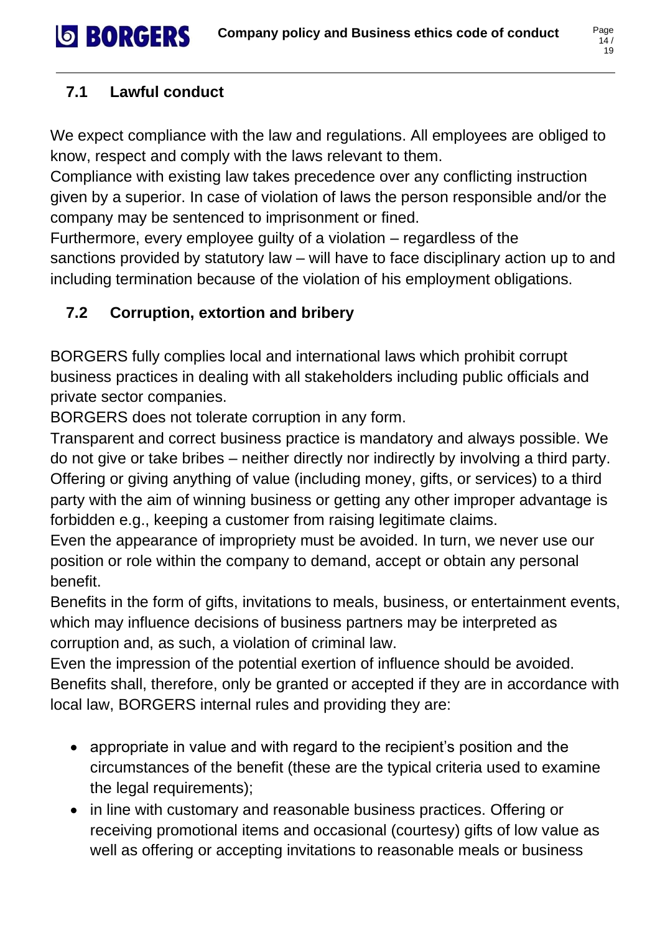#### <span id="page-14-0"></span>**7.1 Lawful conduct**

**SBORGERS** 

We expect compliance with the law and regulations. All employees are obliged to know, respect and comply with the laws relevant to them.

Compliance with existing law takes precedence over any conflicting instruction given by a superior. In case of violation of laws the person responsible and/or the company may be sentenced to imprisonment or fined.

Furthermore, every employee guilty of a violation – regardless of the sanctions provided by statutory law – will have to face disciplinary action up to and including termination because of the violation of his employment obligations.

#### <span id="page-14-1"></span>**7.2 Corruption, extortion and bribery**

BORGERS fully complies local and international laws which prohibit corrupt business practices in dealing with all stakeholders including public officials and private sector companies.

BORGERS does not tolerate corruption in any form.

Transparent and correct business practice is mandatory and always possible. We do not give or take bribes – neither directly nor indirectly by involving a third party. Offering or giving anything of value (including money, gifts, or services) to a third party with the aim of winning business or getting any other improper advantage is forbidden e.g., keeping a customer from raising legitimate claims.

Even the appearance of impropriety must be avoided. In turn, we never use our position or role within the company to demand, accept or obtain any personal benefit.

Benefits in the form of gifts, invitations to meals, business, or entertainment events, which may influence decisions of business partners may be interpreted as corruption and, as such, a violation of criminal law.

Even the impression of the potential exertion of influence should be avoided. Benefits shall, therefore, only be granted or accepted if they are in accordance with local law, BORGERS internal rules and providing they are:

- appropriate in value and with regard to the recipient's position and the circumstances of the benefit (these are the typical criteria used to examine the legal requirements);
- in line with customary and reasonable business practices. Offering or receiving promotional items and occasional (courtesy) gifts of low value as well as offering or accepting invitations to reasonable meals or business

 $14/$ 19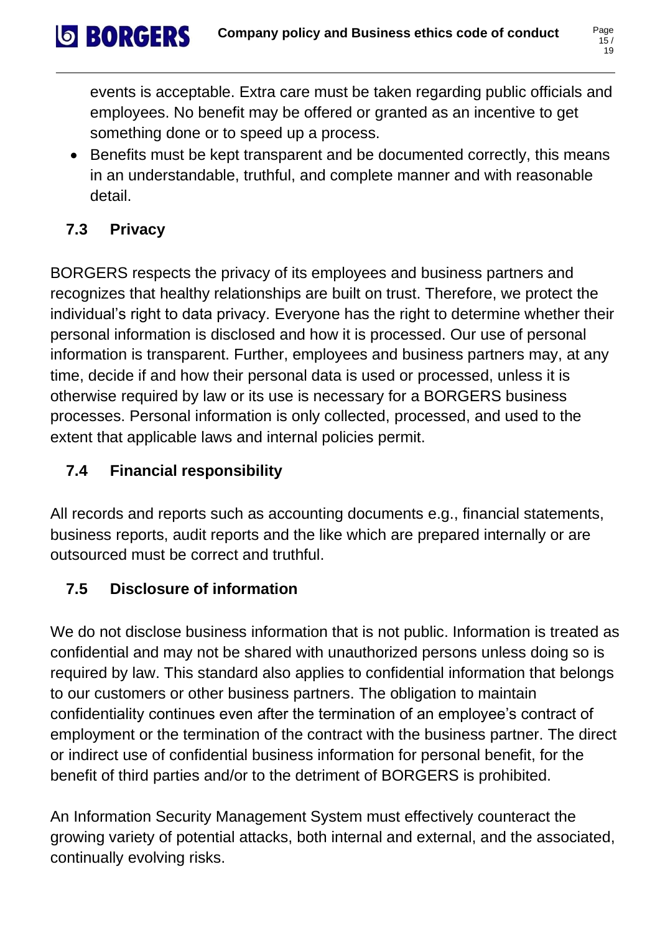• Benefits must be kept transparent and be documented correctly, this means in an understandable, truthful, and complete manner and with reasonable detail.

#### <span id="page-15-0"></span>**7.3 Privacy**

**SBORGERS** 

BORGERS respects the privacy of its employees and business partners and recognizes that healthy relationships are built on trust. Therefore, we protect the individual's right to data privacy. Everyone has the right to determine whether their personal information is disclosed and how it is processed. Our use of personal information is transparent. Further, employees and business partners may, at any time, decide if and how their personal data is used or processed, unless it is otherwise required by law or its use is necessary for a BORGERS business processes. Personal information is only collected, processed, and used to the extent that applicable laws and internal policies permit.

#### <span id="page-15-1"></span>**7.4 Financial responsibility**

All records and reports such as accounting documents e.g., financial statements, business reports, audit reports and the like which are prepared internally or are outsourced must be correct and truthful.

#### <span id="page-15-2"></span>**7.5 Disclosure of information**

We do not disclose business information that is not public. Information is treated as confidential and may not be shared with unauthorized persons unless doing so is required by law. This standard also applies to confidential information that belongs to our customers or other business partners. The obligation to maintain confidentiality continues even after the termination of an employee's contract of employment or the termination of the contract with the business partner. The direct or indirect use of confidential business information for personal benefit, for the benefit of third parties and/or to the detriment of BORGERS is prohibited.

An Information Security Management System must effectively counteract the growing variety of potential attacks, both internal and external, and the associated, continually evolving risks.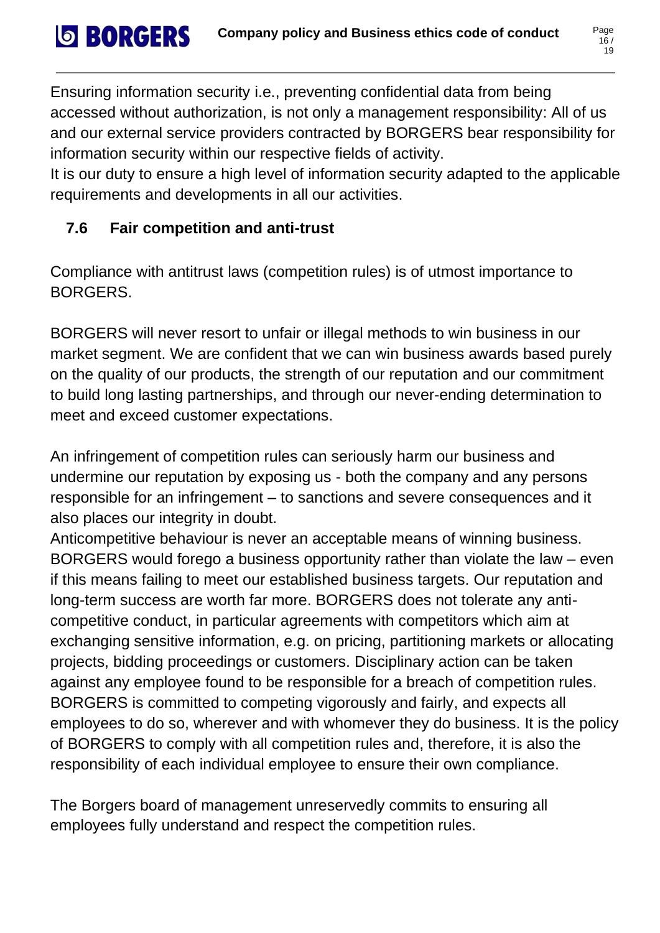Ensuring information security i.e., preventing confidential data from being accessed without authorization, is not only a management responsibility: All of us and our external service providers contracted by BORGERS bear responsibility for information security within our respective fields of activity.

It is our duty to ensure a high level of information security adapted to the applicable requirements and developments in all our activities.

# <span id="page-16-0"></span>**7.6 Fair competition and anti-trust**

**SBORGERS** 

Compliance with antitrust laws (competition rules) is of utmost importance to BORGERS.

BORGERS will never resort to unfair or illegal methods to win business in our market segment. We are confident that we can win business awards based purely on the quality of our products, the strength of our reputation and our commitment to build long lasting partnerships, and through our never-ending determination to meet and exceed customer expectations.

An infringement of competition rules can seriously harm our business and undermine our reputation by exposing us - both the company and any persons responsible for an infringement – to sanctions and severe consequences and it also places our integrity in doubt.

Anticompetitive behaviour is never an acceptable means of winning business. BORGERS would forego a business opportunity rather than violate the law – even if this means failing to meet our established business targets. Our reputation and long-term success are worth far more. BORGERS does not tolerate any anticompetitive conduct, in particular agreements with competitors which aim at exchanging sensitive information, e.g. on pricing, partitioning markets or allocating projects, bidding proceedings or customers. Disciplinary action can be taken against any employee found to be responsible for a breach of competition rules. BORGERS is committed to competing vigorously and fairly, and expects all employees to do so, wherever and with whomever they do business. It is the policy of BORGERS to comply with all competition rules and, therefore, it is also the responsibility of each individual employee to ensure their own compliance.

The Borgers board of management unreservedly commits to ensuring all employees fully understand and respect the competition rules.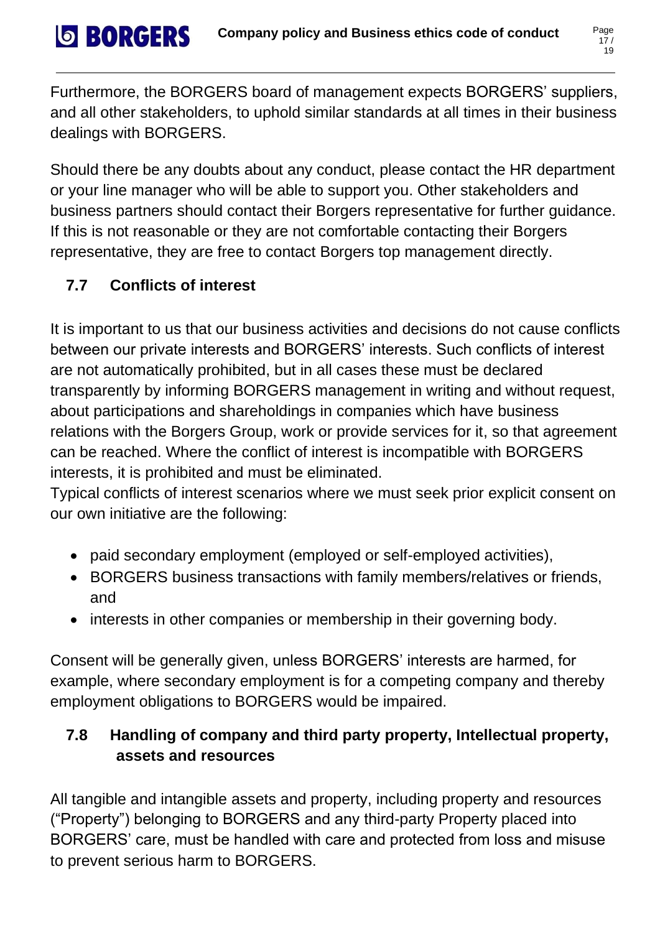Furthermore, the BORGERS board of management expects BORGERS' suppliers, and all other stakeholders, to uphold similar standards at all times in their business dealings with BORGERS.

Should there be any doubts about any conduct, please contact the HR department or your line manager who will be able to support you. Other stakeholders and business partners should contact their Borgers representative for further guidance. If this is not reasonable or they are not comfortable contacting their Borgers representative, they are free to contact Borgers top management directly.

# <span id="page-17-0"></span>**7.7 Conflicts of interest**

**SBORGERS** 

It is important to us that our business activities and decisions do not cause conflicts between our private interests and BORGERS' interests. Such conflicts of interest are not automatically prohibited, but in all cases these must be declared transparently by informing BORGERS management in writing and without request, about participations and shareholdings in companies which have business relations with the Borgers Group, work or provide services for it, so that agreement can be reached. Where the conflict of interest is incompatible with BORGERS interests, it is prohibited and must be eliminated.

Typical conflicts of interest scenarios where we must seek prior explicit consent on our own initiative are the following:

- paid secondary employment (employed or self-employed activities),
- BORGERS business transactions with family members/relatives or friends, and
- interests in other companies or membership in their governing body.

Consent will be generally given, unless BORGERS' interests are harmed, for example, where secondary employment is for a competing company and thereby employment obligations to BORGERS would be impaired.

# <span id="page-17-1"></span>**7.8 Handling of company and third party property, Intellectual property, assets and resources**

All tangible and intangible assets and property, including property and resources ("Property") belonging to BORGERS and any third-party Property placed into BORGERS' care, must be handled with care and protected from loss and misuse to prevent serious harm to BORGERS.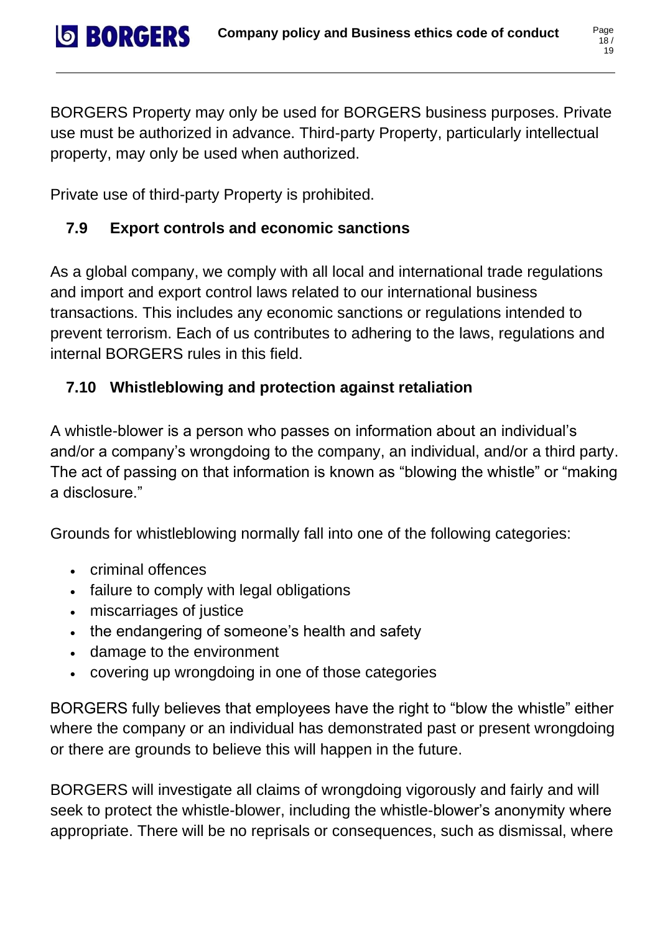BORGERS Property may only be used for BORGERS business purposes. Private use must be authorized in advance. Third-party Property, particularly intellectual property, may only be used when authorized.

Private use of third-party Property is prohibited.

# <span id="page-18-0"></span>**7.9 Export controls and economic sanctions**

As a global company, we comply with all local and international trade regulations and import and export control laws related to our international business transactions. This includes any economic sanctions or regulations intended to prevent terrorism. Each of us contributes to adhering to the laws, regulations and internal BORGERS rules in this field.

# <span id="page-18-1"></span>**7.10 Whistleblowing and protection against retaliation**

A whistle-blower is a person who passes on information about an individual's and/or a company's wrongdoing to the company, an individual, and/or a third party. The act of passing on that information is known as "blowing the whistle" or "making a disclosure."

Grounds for whistleblowing normally fall into one of the following categories:

• criminal offences

**SBORGERS** 

- failure to comply with legal obligations
- miscarriages of justice
- the endangering of someone's health and safety
- damage to the environment
- covering up wrongdoing in one of those categories

BORGERS fully believes that employees have the right to "blow the whistle" either where the company or an individual has demonstrated past or present wrongdoing or there are grounds to believe this will happen in the future.

BORGERS will investigate all claims of wrongdoing vigorously and fairly and will seek to protect the whistle-blower, including the whistle-blower's anonymity where appropriate. There will be no reprisals or consequences, such as dismissal, where